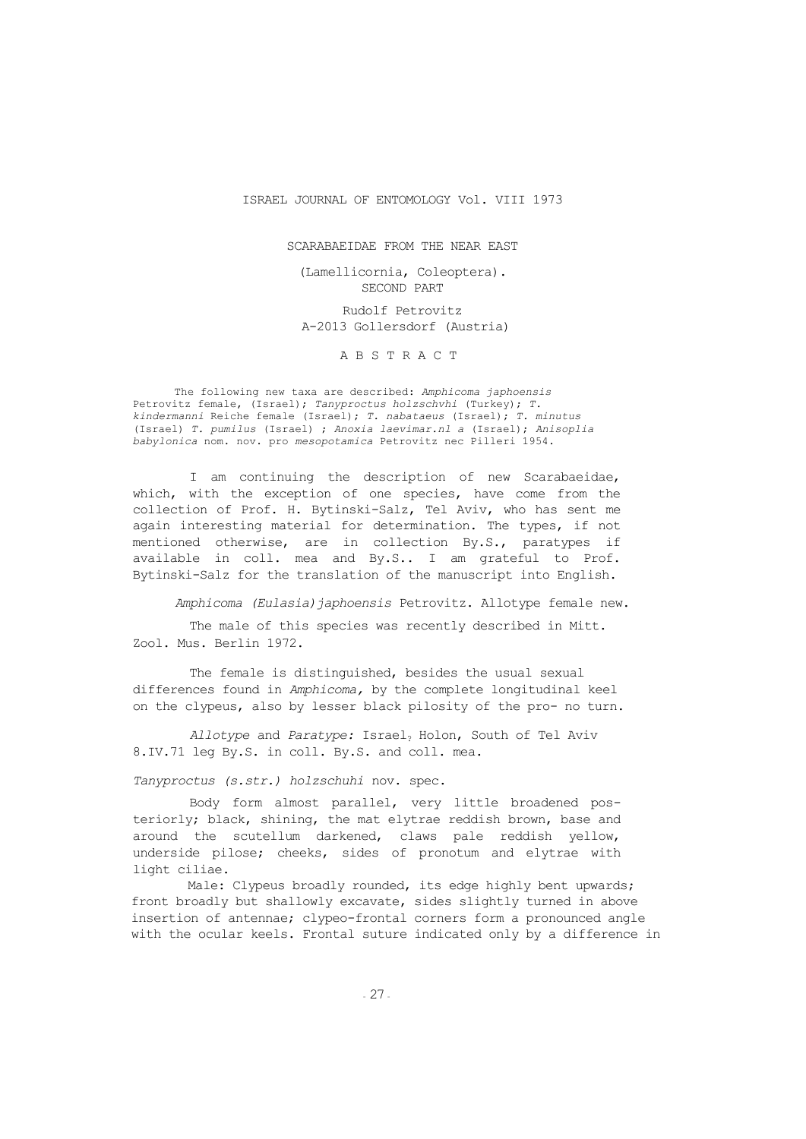#### ISRAEL JOURNAL OF ENTOMOLOGY Vol. VIII 1973

SCARABAEIDAE FROM THE NEAR EAST

(Lamellicornia, Coleoptera). SECOND PART Rudolf Petrovitz A-2013 Gollersdorf (Austria)

ABSTRACT

The following new taxa are described: *Amphicoma japhoensis* Petrovitz female, (Israel); *Tanyproctus holzschvhi* (Turkey); *T. kindermanni* Reiche female (Israel); *T. nabataeus* (Israel); *T. minutus* (Israel) *T. pumilus* (Israel) ; *Anoxia laevimar.nl a* (Israel); *Anisoplia babylonica* nom. nov. pro *mesopotamica* Petrovitz nec Pilleri 1954.

I am continuing the description of new Scarabaeidae, which, with the exception of one species, have come from the collection of Prof. H. Bytinski-Salz, Tel Aviv, who has sent me again interesting material for determination. The types, if not mentioned otherwise, are in collection By.S., paratypes if available in coll. mea and By.S.. I am grateful to Prof. Bytinski-Salz for the translation of the manuscript into English.

*Amphicoma (Eulasia)japhoensis* Petrovitz. Allotype female new.

The male of this species was recently described in Mitt. Zool. Mus. Berlin 1972.

The female is distinguished, besides the usual sexual differences found in *Amphicoma,* by the complete longitudinal keel on the clypeus, also by lesser black pilosity of the pro- no turn.

*Allotype* and *Paratype:* Israel? Holon, South of Tel Aviv 8.IV.71 leg By.S. in coll. By.S. and coll. mea.

*Tanyproctus (s.str.) holzschuhi* nov. spec.

Body form almost parallel, very little broadened posteriorly; black, shining, the mat elytrae reddish brown, base and around the scutellum darkened, claws pale reddish yellow, underside pilose; cheeks, sides of pronotum and elytrae with light ciliae.

Male: Clypeus broadly rounded, its edge highly bent upwards; front broadly but shallowly excavate, sides slightly turned in above insertion of antennae; clypeo-frontal corners form a pronounced angle with the ocular keels. Frontal suture indicated only by a difference in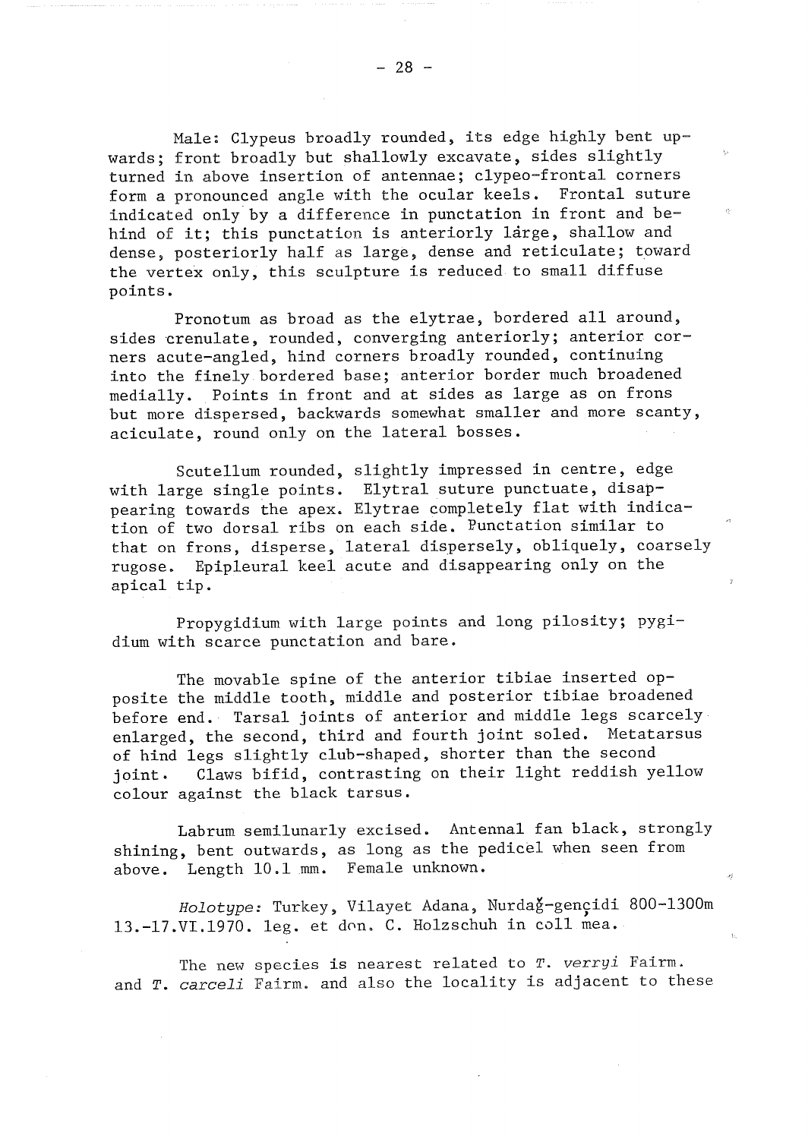Male: Clypeus broadly rounded, its edge highly bent upwards; front broadly but shallowly excavate, sides slightly turned in above insertion of antennae; clypeo-frontal corners form a pronounced angle with the ocular keels. Frontal suture indicated only by a difference in punctation in front and behind of it; this punctation is anteriorly large, shallow and dense, posteriorly half as large, dense and reticulate; toward the vertex only, this sculpture is reduced to small diffuse points.

Pronotum as broad as the elytrae, bordered all around, sides crenulate, rounded, converging anteriorly; anterior corners acute-angled, hind corners broadly rounded, continuing into the finely bordered base; anterior border much broadened medially. Points in front and at sides as large as on frons but more dispersed, backwards somewhat smaller and more scanty, aciculate, round only on the lateral bosses.

Scutellum rounded, slightly impressed in centre, edge with large single points. Elytral suture punctuate, disappearing towards the apex. Elytrae completely flat with indication of two dorsal ribs on each side. Punctation similar to that on frons, disperse, lateral dispersely, obliquely, coarsely rugose. Epipleural keel acute and disappearing only on the apical tip.

Propygidium with large points and long pilosity; pygidium with scarce punctation and bare.

The movable spine of the anterior tibiae inserted opposite the middle tooth, middle and posterior tibiae broadened before end. Tarsal joints of anterior and middle legs scarcely enlarged, the second, third and fourth joint soled. Metatarsus of hind legs slightly club-shaped, shorter than the second Claws bifid, contrasting on their light reddish yellow ioint. colour against the black tarsus.

Labrum semilunarly excised. Antennal fan black, strongly shining, bent outwards, as long as the pedicel when seen from above. Length 10.1 mm. Female unknown.

Holotype: Turkey, Vilayet Adana, Nurdag-gencidi 800-1300m 13.-17.VI.1970. leg. et don. C. Holzschuh in coll mea.

The new species is nearest related to T. verryi Fairm. and T. carceli Fairm. and also the locality is adjacent to these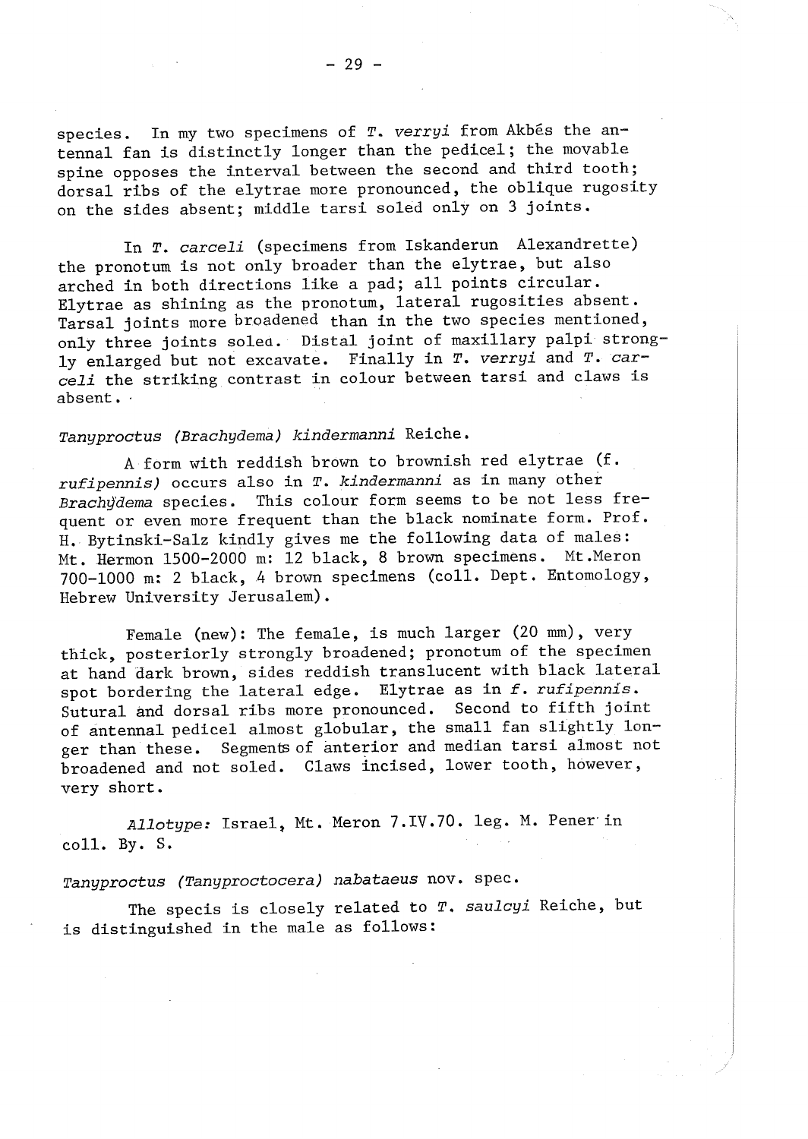In T. carceli (specimens from Iskanderun Alexandrette) the pronotum is not only broader than the elytrae, but also arched in both directions like a pad; all points circular. Elytrae as shining as the pronotum, lateral rugosities absent. Tarsal joints more broadened than in the two species mentioned, only three joints soled. Distal joint of maxillary palpi strongly enlarged but not excavate. Finally in T. verryi and T. carceli the striking contrast in colour between tarsi and claws is absent.

## Tanyproctus (Brachydema) kindermanni Reiche.

A form with reddish brown to brownish red elytrae (f. rufipennis) occurs also in T. kindermanni as in many other Brachydema species. This colour form seems to be not less frequent or even more frequent than the black nominate form. Prof. H. Bytinski-Salz kindly gives me the following data of males: Mt. Hermon 1500-2000 m: 12 black, 8 brown specimens. Mt. Meron 700-1000 m: 2 black, 4 brown specimens (coll. Dept. Entomology, Hebrew University Jerusalem).

Female (new): The female, is much larger (20 mm), very thick, posteriorly strongly broadened; pronotum of the specimen at hand dark brown, sides reddish translucent with black lateral spot bordering the lateral edge. Elytrae as in f. rufipennis. Sutural and dorsal ribs more pronounced. Second to fifth joint of antennal pedicel almost globular, the small fan slightly longer than these. Segments of anterior and median tarsi almost not broadened and not soled. Claws incised, lower tooth, however, very short.

Allotype: Israel, Mt. Meron 7.IV.70. leg. M. Pener in  $col1. By. S.$ 

## Tanyproctus (Tanyproctocera) nabataeus nov. spec.

The specis is closely related to T. saulcyi Reiche, but is distinguished in the male as follows: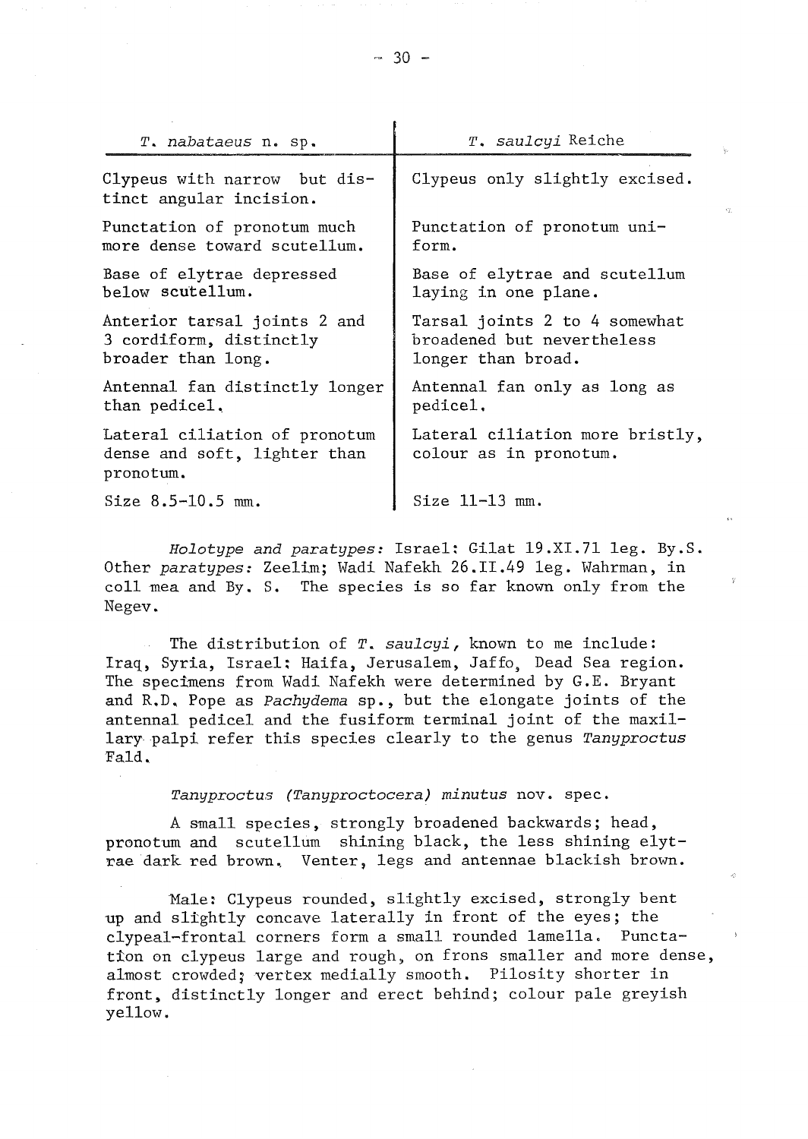| T. nabataeus n. sp.                                                        | T. saulcyi Reiche                                         |
|----------------------------------------------------------------------------|-----------------------------------------------------------|
| Clypeus with narrow but dis-<br>tinct angular incision.                    | Clypeus only slightly excised.                            |
| Punctation of pronotum much                                                | Punctation of pronotum uni-                               |
| more dense toward scutellum.                                               | form.                                                     |
| Base of elytrae depressed                                                  | Base of elytrae and scutellum                             |
| below scutellum.                                                           | laying in one plane.                                      |
| Anterior tarsal joints 2 and                                               | Tarsal joints 2 to 4 somewhat                             |
| 3 cordiform, distinctly                                                    | broadened but nevertheless                                |
| broader than long.                                                         | longer than broad.                                        |
| Antennal fan distinctly longer                                             | Antennal fan only as long as                              |
| than pedicel.                                                              | pedicel.                                                  |
| Lateral ciliation of pronotum<br>dense and soft, lighter than<br>pronotum. | Lateral ciliation more bristly,<br>colour as in pronotum. |
| Size $8.5 - 10.5$ mm.                                                      | Size $11-13$ mm.                                          |

Holotype and paratypes: Israel: Gilat 19.XI.71 leg. By.S. Other paratypes: Zeelim; Wadi Nafekh 26.II.49 leg. Wahrman, in coll mea and By. S. The species is so far known only from the Negev.

The distribution of  $T$ . saulcyi, known to me include: Iraq, Syria, Israel; Haifa, Jerusalem, Jaffo, Dead Sea region. The specimens from Wadi Nafekh were determined by G.E. Bryant and R.D. Pope as Pachydema sp., but the elongate joints of the antennal pedicel and the fusiform terminal joint of the maxillary palpi refer this species clearly to the genus Tanyproctus Fald.

Tanyproctus (Tanyproctocera) minutus nov. spec.

A small species, strongly broadened backwards; head, pronotum and scutellum shining black, the less shining elytrae dark red brown. Venter, legs and antennae blackish brown.

Male: Clypeus rounded, slightly excised, strongly bent up and slightly concave laterally in front of the eyes; the clypeal-frontal corners form a small rounded lamella. Punctation on clypeus large and rough, on frons smaller and more dense, almost crowded; vertex medially smooth. Pilosity shorter in front, distinctly longer and erect behind; colour pale greyish yellow.

 $-30 -$ 

 $\mathbf{r}$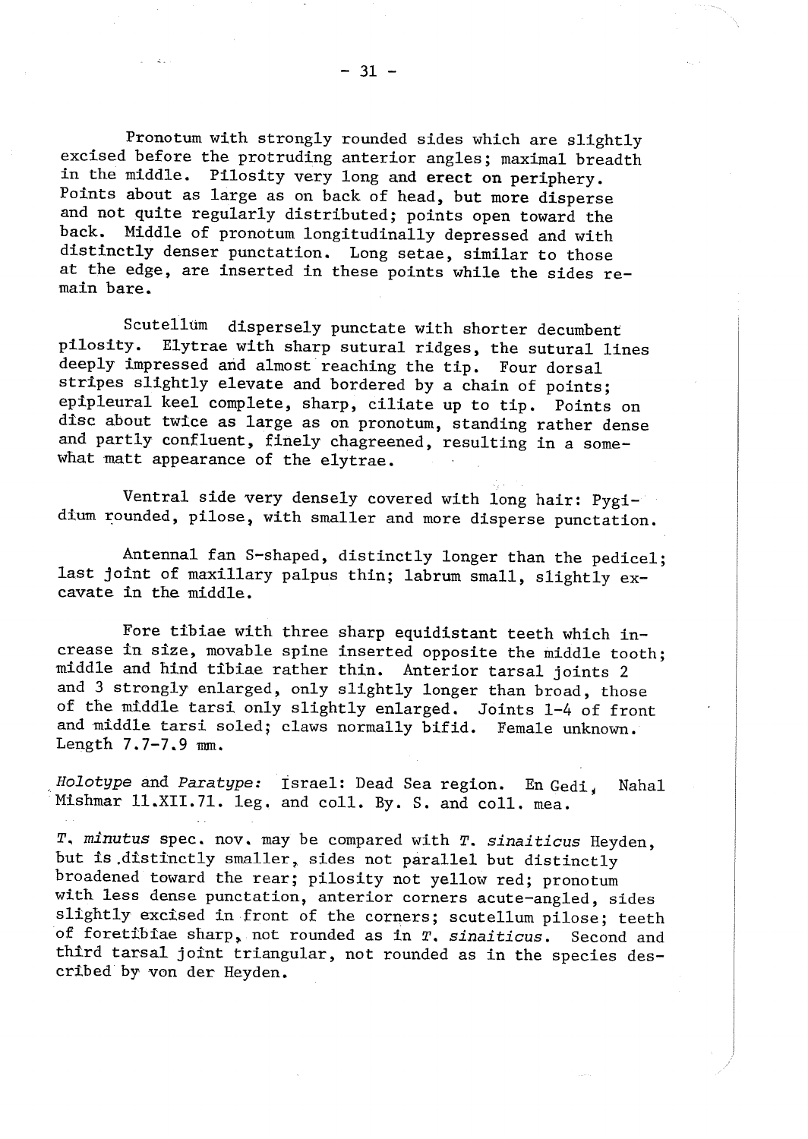Pronotum with strongly rounded sides which are slightly excised before the protruding anterior angles; maximal breadth in the middle. Pilosity very long and erect on periphery. Points about as large as on back of head, but more disperse and not quite regularly distributed; points open toward the back. Middle of pronotum longitudinally depressed and with distinctly denser punctation. Long setae, similar to those at the edge, are inserted in these points while the sides remain bare.

Scutellum dispersely punctate with shorter decumbent pilosity. Elytrae with sharp sutural ridges, the sutural lines deeply impressed and almost reaching the tip. Four dorsal stripes slightly elevate and bordered by a chain of points; epipleural keel complete, sharp, ciliate up to tip. Points on disc about twice as large as on pronotum, standing rather dense and partly confluent, finely chagreened, resulting in a somewhat matt appearance of the elytrae.

Ventral side very densely covered with long hair: Pygidium rounded, pilose, with smaller and more disperse punctation.

Antennal fan S-shaped, distinctly longer than the pedicel; last joint of maxillary palpus thin; labrum small, slightly excavate in the middle.

Fore tibiae with three sharp equidistant teeth which increase in size, movable spine inserted opposite the middle tooth; middle and hind tibiae rather thin. Anterior tarsal joints 2 and 3 strongly enlarged, only slightly longer than broad, those of the middle tarsi only slightly enlarged. Joints 1-4 of front and middle tarsi soled; claws normally bifid. Female unknown. Length  $7.7-7.9$  mm.

Holotype and Paratype: Israel: Dead Sea region. En Gedi. Naha1 Mishmar 11.XII.71. leg. and coll. By. S. and coll. mea.

T. minutus spec. nov. may be compared with T. sinaiticus Heyden, but is distinctly smaller, sides not parallel but distinctly broadened toward the rear; pilosity not yellow red; pronotum with less dense punctation, anterior corners acute-angled, sides slightly excised in front of the corners; scutellum pilose; teeth of foretibiae sharp, not rounded as in T. sinaiticus. Second and third tarsal joint triangular, not rounded as in the species described by von der Heyden.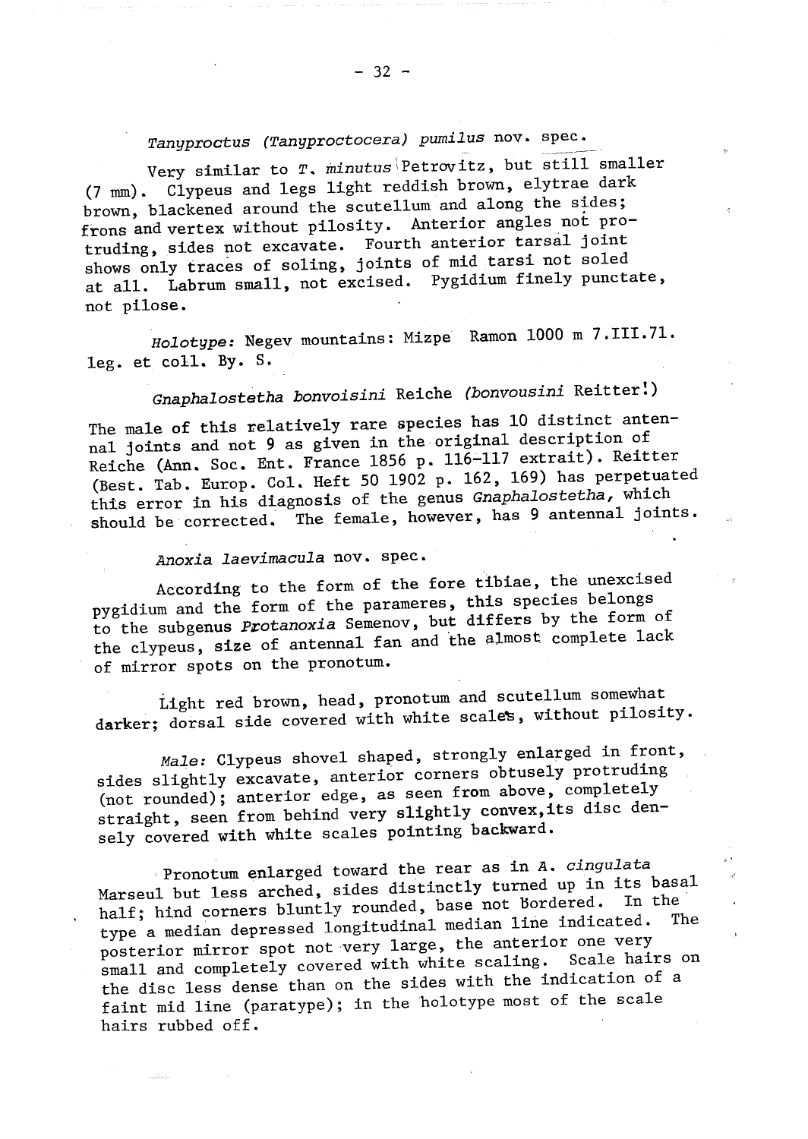Very similar to T. minutus Petrovitz, but still smaller (7 mm). Clypeus and legs light reddish brown, elytrae dark brown, blackened around the scutellum and along the sides; frons and vertex without pilosity. Anterior angles not protruding, sides not excavate. Fourth anterior tarsal joint shows only traces of soling, joints of mid tarsi not soled at all. Labrum small, not excised. Pygidium finely punctate, not pilose.

Holotype: Negev mountains: Mizpe Ramon 1000 m 7.III.71.  $leg. et col1. By. S.$ 

# Gnaphalostetha bonvoisini Reiche (bonvousini Reitter!)

The male of this relatively rare species has 10 distinct antennal joints and not 9 as given in the original description of Reiche (Ann. Soc. Ent. France 1856 p. 116-117 extrait). Reitter (Best. Tab. Europ. Col. Heft 50 1902 p. 162, 169) has perpetuated this error in his diagnosis of the genus Gnaphalostetha, which should be corrected. The female, however, has 9 antennal joints.

## Anoxia laevimacula nov. spec.

According to the form of the fore tibiae, the unexcised pygidium and the form of the parameres, this species belongs to the subgenus *Protanoxia* Semenov, but differs by the form of the clypeus, size of antennal fan and the almost complete lack of mirror spots on the pronotum.

Light red brown, head, pronotum and scutellum somewhat darker; dorsal side covered with white scales, without pilosity.

Male: Clypeus shovel shaped, strongly enlarged in front, sides slightly excavate, anterior corners obtusely protruding (not rounded); anterior edge, as seen from above, completely straight, seen from behind very slightly convex, its disc densely covered with white scales pointing backward.

Pronotum enlarged toward the rear as in A. cingulata Marseul but less arched, sides distinctly turned up in its basal half; hind corners bluntly rounded, base not bordered. In the type a median depressed longitudinal median line indicated. The posterior mirror spot not very large, the anterior one very small and completely covered with white scaling. Scale hairs on the disc less dense than on the sides with the indication of a faint mid line (paratype); in the holotype most of the scale hairs rubbed off.

J.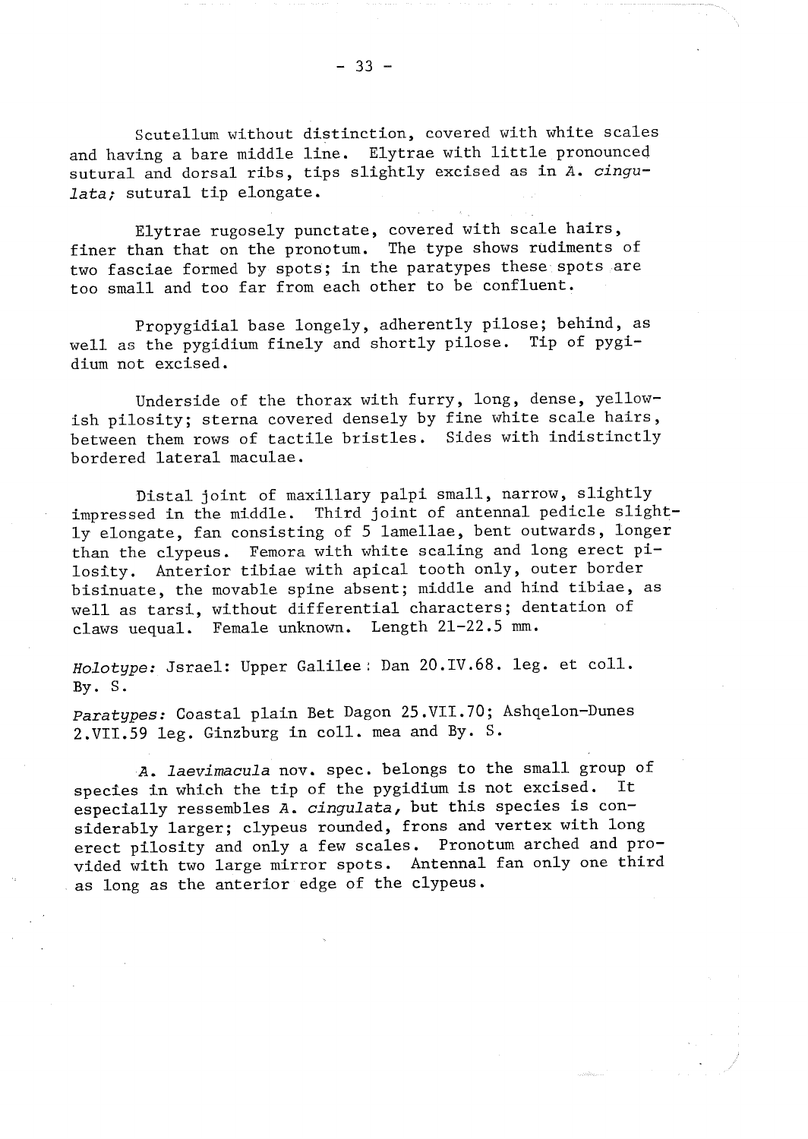Scutellum without distinction, covered with white scales and having a bare middle line. Elytrae with little pronounced sutural and dorsal ribs, tips slightly excised as in A. cingulata; sutural tip elongate.

Elytrae rugosely punctate, covered with scale hairs. The type shows rudiments of finer than that on the pronotum. two fasciae formed by spots; in the paratypes these spots are too small and too far from each other to be confluent.

Propygidial base longely, adherently pilose; behind, as well as the pygidium finely and shortly pilose. Tip of pygidium not excised.

Underside of the thorax with furry, long, dense, yellowish pilosity; sterna covered densely by fine white scale hairs, between them rows of tactile bristles. Sides with indistinctly bordered lateral maculae.

Distal joint of maxillary palpi small, narrow, slightly impressed in the middle. Third joint of antennal pedicle slightly elongate, fan consisting of 5 lamellae, bent outwards, longer than the clypeus. Femora with white scaling and long erect pilosity. Anterior tibiae with apical tooth only, outer border bisinuate, the movable spine absent; middle and hind tibiae, as well as tarsi, without differential characters; dentation of claws uequal. Female unknown. Length 21-22.5 mm.

Holotype: Jsrael: Upper Galilee: Dan 20.IV.68. leg. et coll.  $By. S.$ 

Paratypes: Coastal plain Bet Dagon 25.VII.70; Ashqelon-Dunes 2.VII.59 leg. Ginzburg in coll. mea and By. S.

A. *laevimacula* nov. spec. belongs to the small group of species in which the tip of the pygidium is not excised. It especially ressembles A. cingulata, but this species is considerably larger; clypeus rounded, frons and vertex with long erect pilosity and only a few scales. Pronotum arched and provided with two large mirror spots. Antennal fan only one third as long as the anterior edge of the clypeus.